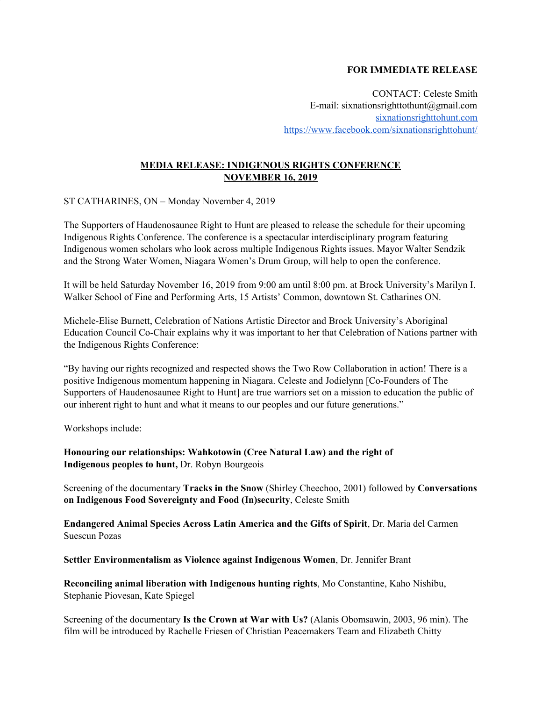## **FOR IMMEDIATE RELEASE**

CONTACT: Celeste Smith E-mail: sixnationsrighttothunt@gmail.com [sixnationsrighttohunt.com](https://sixnationsrighttohunt.com/) <https://www.facebook.com/sixnationsrighttohunt/>

## **MEDIA RELEASE: INDIGENOUS RIGHTS CONFERENCE NOVEMBER 16, 2019**

ST CATHARINES, ON – Monday November 4, 2019

The Supporters of Haudenosaunee Right to Hunt are pleased to release the schedule for their upcoming Indigenous Rights Conference. The conference is a spectacular interdisciplinary program featuring Indigenous women scholars who look across multiple Indigenous Rights issues. Mayor Walter Sendzik and the Strong Water Women, Niagara Women's Drum Group, will help to open the conference.

It will be held Saturday November 16, 2019 from 9:00 am until 8:00 pm. at Brock University's Marilyn I. Walker School of Fine and Performing Arts, 15 Artists' Common, downtown St. Catharines ON.

Michele-Elise Burnett, Celebration of Nations Artistic Director and Brock University's Aboriginal Education Council Co-Chair explains why it was important to her that Celebration of Nations partner with the Indigenous Rights Conference:

"By having our rights recognized and respected shows the Two Row Collaboration in action! There is a positive Indigenous momentum happening in Niagara. Celeste and Jodielynn [Co-Founders of The Supporters of Haudenosaunee Right to Hunt] are true warriors set on a mission to education the public of our inherent right to hunt and what it means to our peoples and our future generations."

Workshops include:

**Honouring our relationships: Wahkotowin (Cree Natural Law) and the right of Indigenous peoples to hunt,** Dr. Robyn Bourgeois

Screening of the documentary **Tracks in the Snow** (Shirley Cheechoo, 2001) followed by **Conversations on Indigenous Food Sovereignty and Food (In)security**, Celeste Smith

**Endangered Animal Species Across Latin America and the Gifts of Spirit**, Dr. Maria del Carmen Suescun Pozas

**Settler Environmentalism as Violence against Indigenous Women**, Dr. Jennifer Brant

**Reconciling animal liberation with Indigenous hunting rights**, Mo Constantine, Kaho Nishibu, Stephanie Piovesan, Kate Spiegel

Screening of the documentary **Is the Crown at War with Us?** (Alanis Obomsawin, 2003, 96 min). The film will be introduced by Rachelle Friesen of Christian Peacemakers Team and Elizabeth Chitty